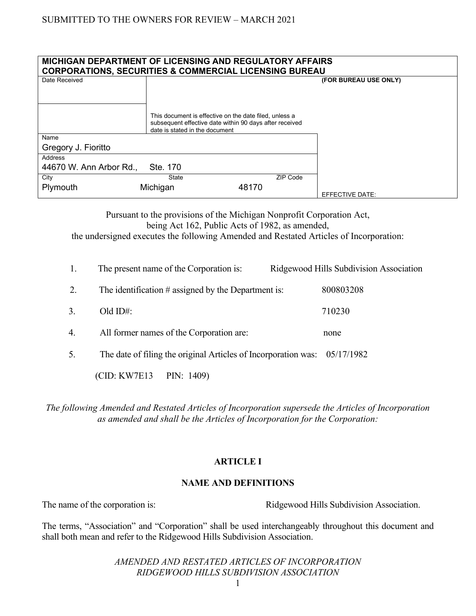| <b>MICHIGAN DEPARTMENT OF LICENSING AND REGULATORY AFFAIRS</b><br><b>CORPORATIONS, SECURITIES &amp; COMMERCIAL LICENSING BUREAU</b> |                                                                                                                                                     |          |                       |  |  |  |
|-------------------------------------------------------------------------------------------------------------------------------------|-----------------------------------------------------------------------------------------------------------------------------------------------------|----------|-----------------------|--|--|--|
| Date Received                                                                                                                       |                                                                                                                                                     |          | (FOR BUREAU USE ONLY) |  |  |  |
|                                                                                                                                     |                                                                                                                                                     |          |                       |  |  |  |
|                                                                                                                                     | This document is effective on the date filed, unless a<br>subsequent effective date within 90 days after received<br>date is stated in the document |          |                       |  |  |  |
| Name                                                                                                                                |                                                                                                                                                     |          |                       |  |  |  |
| Gregory J. Fioritto                                                                                                                 |                                                                                                                                                     |          |                       |  |  |  |
| Address                                                                                                                             |                                                                                                                                                     |          |                       |  |  |  |
| 44670 W. Ann Arbor Rd.,                                                                                                             | Ste. 170                                                                                                                                            |          |                       |  |  |  |
| City                                                                                                                                | State                                                                                                                                               | ZIP Code |                       |  |  |  |
| Plymouth                                                                                                                            | Michigan                                                                                                                                            | 48170    | EFFECTIVE DATE:       |  |  |  |

Pursuant to the provisions of the Michigan Nonprofit Corporation Act, being Act 162, Public Acts of 1982, as amended, the undersigned executes the following Amended and Restated Articles of Incorporation:

| 1. | The present name of the Corporation is:                                     | Ridgewood Hills Subdivision Association |  |
|----|-----------------------------------------------------------------------------|-----------------------------------------|--|
| 2. | The identification $\#$ assigned by the Department is:                      | 800803208                               |  |
| 3. | $Old ID#$ :                                                                 | 710230                                  |  |
| 4. | All former names of the Corporation are:                                    | none                                    |  |
| 5. | The date of filing the original Articles of Incorporation was: $05/17/1982$ |                                         |  |
|    | (CID: KW7E13)<br>PIN: $1409$ )                                              |                                         |  |

*The following Amended and Restated Articles of Incorporation supersede the Articles of Incorporation as amended and shall be the Articles of Incorporation for the Corporation:*

# **ARTICLE I**

## **NAME AND DEFINITIONS**

The name of the corporation is: Ridgewood Hills Subdivision Association.

The terms, "Association" and "Corporation" shall be used interchangeably throughout this document and shall both mean and refer to the Ridgewood Hills Subdivision Association.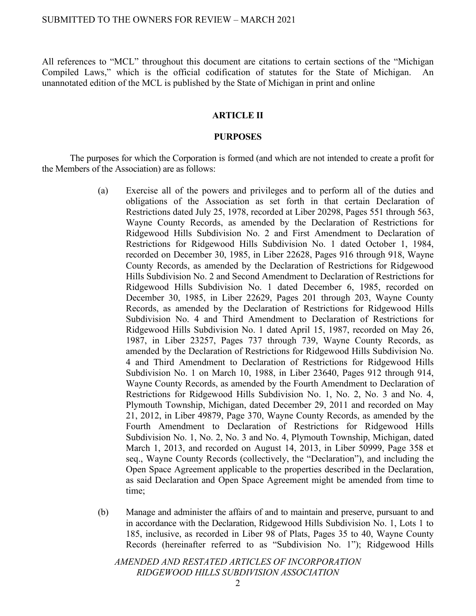All references to "MCL" throughout this document are citations to certain sections of the "Michigan Compiled Laws," which is the official codification of statutes for the State of Michigan. An unannotated edition of the MCL is published by the State of Michigan in print and online

## **ARTICLE II**

#### **PURPOSES**

The purposes for which the Corporation is formed (and which are not intended to create a profit for the Members of the Association) are as follows:

- (a) Exercise all of the powers and privileges and to perform all of the duties and obligations of the Association as set forth in that certain Declaration of Restrictions dated July 25, 1978, recorded at Liber 20298, Pages 551 through 563, Wayne County Records, as amended by the Declaration of Restrictions for Ridgewood Hills Subdivision No. 2 and First Amendment to Declaration of Restrictions for Ridgewood Hills Subdivision No. 1 dated October 1, 1984, recorded on December 30, 1985, in Liber 22628, Pages 916 through 918, Wayne County Records, as amended by the Declaration of Restrictions for Ridgewood Hills Subdivision No. 2 and Second Amendment to Declaration of Restrictions for Ridgewood Hills Subdivision No. 1 dated December 6, 1985, recorded on December 30, 1985, in Liber 22629, Pages 201 through 203, Wayne County Records, as amended by the Declaration of Restrictions for Ridgewood Hills Subdivision No. 4 and Third Amendment to Declaration of Restrictions for Ridgewood Hills Subdivision No. 1 dated April 15, 1987, recorded on May 26, 1987, in Liber 23257, Pages 737 through 739, Wayne County Records, as amended by the Declaration of Restrictions for Ridgewood Hills Subdivision No. 4 and Third Amendment to Declaration of Restrictions for Ridgewood Hills Subdivision No. 1 on March 10, 1988, in Liber 23640, Pages 912 through 914, Wayne County Records, as amended by the Fourth Amendment to Declaration of Restrictions for Ridgewood Hills Subdivision No. 1, No. 2, No. 3 and No. 4, Plymouth Township, Michigan, dated December 29, 2011 and recorded on May 21, 2012, in Liber 49879, Page 370, Wayne County Records, as amended by the Fourth Amendment to Declaration of Restrictions for Ridgewood Hills Subdivision No. 1, No. 2, No. 3 and No. 4, Plymouth Township, Michigan, dated March 1, 2013, and recorded on August 14, 2013, in Liber 50999, Page 358 et seq., Wayne County Records (collectively, the "Declaration"), and including the Open Space Agreement applicable to the properties described in the Declaration, as said Declaration and Open Space Agreement might be amended from time to time;
- (b) Manage and administer the affairs of and to maintain and preserve, pursuant to and in accordance with the Declaration, Ridgewood Hills Subdivision No. 1, Lots 1 to 185, inclusive, as recorded in Liber 98 of Plats, Pages 35 to 40, Wayne County Records (hereinafter referred to as "Subdivision No. 1"); Ridgewood Hills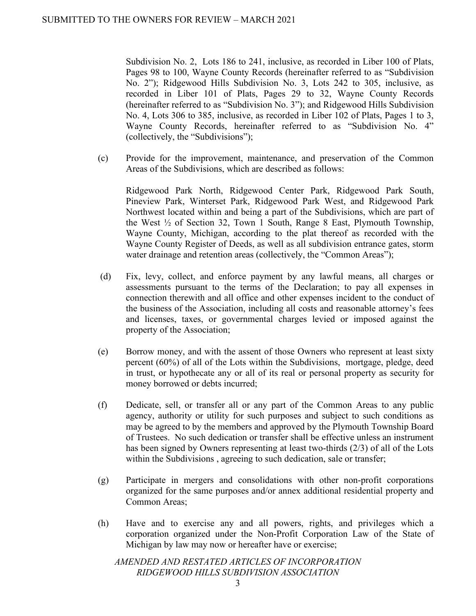Subdivision No. 2, Lots 186 to 241, inclusive, as recorded in Liber 100 of Plats, Pages 98 to 100, Wayne County Records (hereinafter referred to as "Subdivision No. 2"); Ridgewood Hills Subdivision No. 3, Lots 242 to 305, inclusive, as recorded in Liber 101 of Plats, Pages 29 to 32, Wayne County Records (hereinafter referred to as "Subdivision No. 3"); and Ridgewood Hills Subdivision No. 4, Lots 306 to 385, inclusive, as recorded in Liber 102 of Plats, Pages 1 to 3, Wayne County Records, hereinafter referred to as "Subdivision No. 4" (collectively, the "Subdivisions");

(c) Provide for the improvement, maintenance, and preservation of the Common Areas of the Subdivisions, which are described as follows:

Ridgewood Park North, Ridgewood Center Park, Ridgewood Park South, Pineview Park, Winterset Park, Ridgewood Park West, and Ridgewood Park Northwest located within and being a part of the Subdivisions, which are part of the West ½ of Section 32, Town 1 South, Range 8 East, Plymouth Township, Wayne County, Michigan, according to the plat thereof as recorded with the Wayne County Register of Deeds, as well as all subdivision entrance gates, storm water drainage and retention areas (collectively, the "Common Areas");

- (d) Fix, levy, collect, and enforce payment by any lawful means, all charges or assessments pursuant to the terms of the Declaration; to pay all expenses in connection therewith and all office and other expenses incident to the conduct of the business of the Association, including all costs and reasonable attorney's fees and licenses, taxes, or governmental charges levied or imposed against the property of the Association;
- (e) Borrow money, and with the assent of those Owners who represent at least sixty percent (60%) of all of the Lots within the Subdivisions, mortgage, pledge, deed in trust, or hypothecate any or all of its real or personal property as security for money borrowed or debts incurred;
- (f) Dedicate, sell, or transfer all or any part of the Common Areas to any public agency, authority or utility for such purposes and subject to such conditions as may be agreed to by the members and approved by the Plymouth Township Board of Trustees. No such dedication or transfer shall be effective unless an instrument has been signed by Owners representing at least two-thirds (2/3) of all of the Lots within the Subdivisions , agreeing to such dedication, sale or transfer;
- (g) Participate in mergers and consolidations with other non-profit corporations organized for the same purposes and/or annex additional residential property and Common Areas;
- (h) Have and to exercise any and all powers, rights, and privileges which a corporation organized under the Non-Profit Corporation Law of the State of Michigan by law may now or hereafter have or exercise;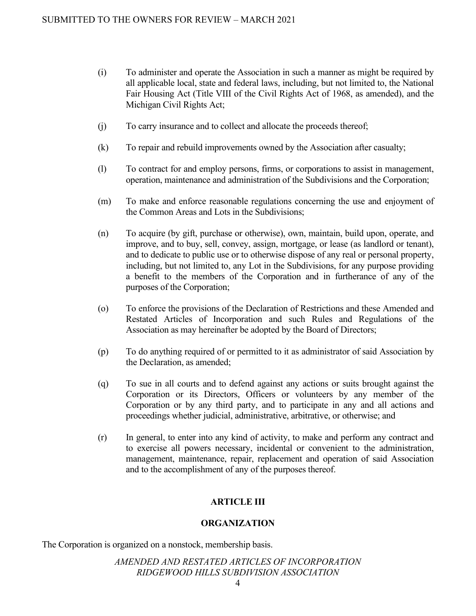- (i) To administer and operate the Association in such a manner as might be required by all applicable local, state and federal laws, including, but not limited to, the National Fair Housing Act (Title VIII of the Civil Rights Act of 1968, as amended), and the Michigan Civil Rights Act;
- (j) To carry insurance and to collect and allocate the proceeds thereof;
- (k) To repair and rebuild improvements owned by the Association after casualty;
- (l) To contract for and employ persons, firms, or corporations to assist in management, operation, maintenance and administration of the Subdivisions and the Corporation;
- (m) To make and enforce reasonable regulations concerning the use and enjoyment of the Common Areas and Lots in the Subdivisions;
- (n) To acquire (by gift, purchase or otherwise), own, maintain, build upon, operate, and improve, and to buy, sell, convey, assign, mortgage, or lease (as landlord or tenant), and to dedicate to public use or to otherwise dispose of any real or personal property, including, but not limited to, any Lot in the Subdivisions, for any purpose providing a benefit to the members of the Corporation and in furtherance of any of the purposes of the Corporation;
- (o) To enforce the provisions of the Declaration of Restrictions and these Amended and Restated Articles of Incorporation and such Rules and Regulations of the Association as may hereinafter be adopted by the Board of Directors;
- (p) To do anything required of or permitted to it as administrator of said Association by the Declaration, as amended;
- (q) To sue in all courts and to defend against any actions or suits brought against the Corporation or its Directors, Officers or volunteers by any member of the Corporation or by any third party, and to participate in any and all actions and proceedings whether judicial, administrative, arbitrative, or otherwise; and
- (r) In general, to enter into any kind of activity, to make and perform any contract and to exercise all powers necessary, incidental or convenient to the administration, management, maintenance, repair, replacement and operation of said Association and to the accomplishment of any of the purposes thereof.

# **ARTICLE III**

# **ORGANIZATION**

The Corporation is organized on a nonstock, membership basis.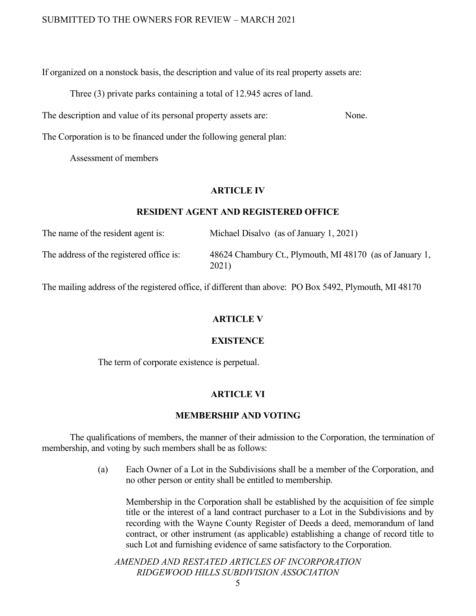If organized on a nonstock basis, the description and value of its real property assets are:

Three (3) private parks containing a total of 12.945 acres of land.

The description and value of its personal property assets are: None.

The Corporation is to be financed under the following general plan:

Assessment of members

#### **ARTICLE IV**

#### **RESIDENT AGENT AND REGISTERED OFFICE**

| The name of the resident agent is:       | Michael Disalvo (as of January 1, 2021)                           |
|------------------------------------------|-------------------------------------------------------------------|
| The address of the registered office is: | 48624 Chambury Ct., Plymouth, MI 48170 (as of January 1,<br>2021) |

The mailing address of the registered office, if different than above: PO Box 5492, Plymouth, MI 48170

## **ARTICLE V**

#### **EXISTENCE**

The term of corporate existence is perpetual.

## **ARTICLE VI**

#### **MEMBERSHIP AND VOTING**

The qualifications of members, the manner of their admission to the Corporation, the termination of membership, and voting by such members shall be as follows:

> (a) Each Owner of a Lot in the Subdivisions shall be a member of the Corporation, and no other person or entity shall be entitled to membership.

Membership in the Corporation shall be established by the acquisition of fee simple title or the interest of a land contract purchaser to a Lot in the Subdivisions and by recording with the Wayne County Register of Deeds a deed, memorandum of land contract, or other instrument (as applicable) establishing a change of record title to such Lot and furnishing evidence of same satisfactory to the Corporation.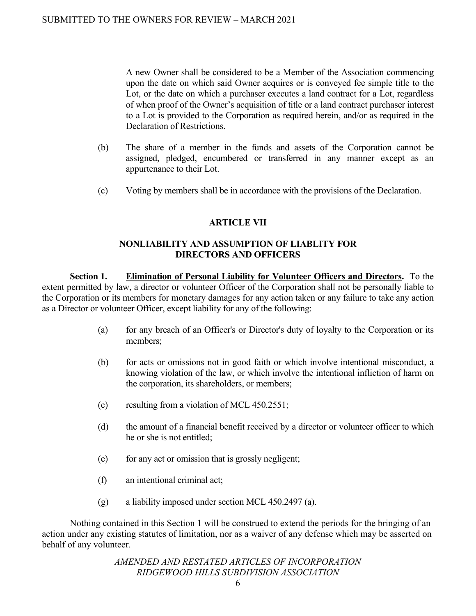A new Owner shall be considered to be a Member of the Association commencing upon the date on which said Owner acquires or is conveyed fee simple title to the Lot, or the date on which a purchaser executes a land contract for a Lot, regardless of when proof of the Owner's acquisition of title or a land contract purchaser interest to a Lot is provided to the Corporation as required herein, and/or as required in the Declaration of Restrictions.

- (b) The share of a member in the funds and assets of the Corporation cannot be assigned, pledged, encumbered or transferred in any manner except as an appurtenance to their Lot.
- (c) Voting by members shall be in accordance with the provisions of the Declaration.

# **ARTICLE VII**

## **NONLIABILITY AND ASSUMPTION OF LIABLITY FOR DIRECTORS AND OFFICERS**

**Section 1. Elimination of Personal Liability for Volunteer Officers and Directors.** To the extent permitted by law, a director or volunteer Officer of the Corporation shall not be personally liable to the Corporation or its members for monetary damages for any action taken or any failure to take any action as a Director or volunteer Officer, except liability for any of the following:

- (a) for any breach of an Officer's or Director's duty of loyalty to the Corporation or its members;
- (b) for acts or omissions not in good faith or which involve intentional misconduct, a knowing violation of the law, or which involve the intentional infliction of harm on the corporation, its shareholders, or members;
- (c) resulting from a violation of MCL 450.2551;
- (d) the amount of a financial benefit received by a director or volunteer officer to which he or she is not entitled;
- (e) for any act or omission that is grossly negligent;
- (f) an intentional criminal act;
- (g) a liability imposed under section MCL 450.2497 (a).

Nothing contained in this Section 1 will be construed to extend the periods for the bringing of an action under any existing statutes of limitation, nor as a waiver of any defense which may be asserted on behalf of any volunteer.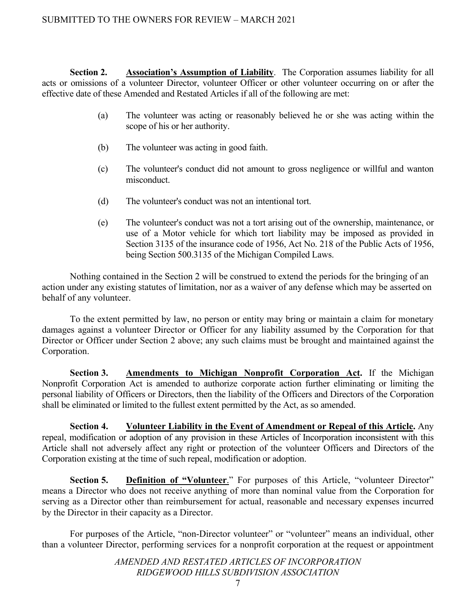# SUBMITTED TO THE OWNERS FOR REVIEW – MARCH 2021

**Section 2. Association's Assumption of Liability**. The Corporation assumes liability for all acts or omissions of a volunteer Director, volunteer Officer or other volunteer occurring on or after the effective date of these Amended and Restated Articles if all of the following are met:

- (a) The volunteer was acting or reasonably believed he or she was acting within the scope of his or her authority.
- (b) The volunteer was acting in good faith.
- (c) The volunteer's conduct did not amount to gross negligence or willful and wanton misconduct.
- (d) The volunteer's conduct was not an intentional tort.
- (e) The volunteer's conduct was not a tort arising out of the ownership, maintenance, or use of a Motor vehicle for which tort liability may be imposed as provided in Section 3135 of the insurance code of 1956, Act No. 218 of the Public Acts of 1956, being Section 500.3135 of the Michigan Compiled Laws.

Nothing contained in the Section 2 will be construed to extend the periods for the bringing of an action under any existing statutes of limitation, nor as a waiver of any defense which may be asserted on behalf of any volunteer.

To the extent permitted by law, no person or entity may bring or maintain a claim for monetary damages against a volunteer Director or Officer for any liability assumed by the Corporation for that Director or Officer under Section 2 above; any such claims must be brought and maintained against the Corporation.

**Section 3. Amendments to Michigan Nonprofit Corporation Act.** If the Michigan Nonprofit Corporation Act is amended to authorize corporate action further eliminating or limiting the personal liability of Officers or Directors, then the liability of the Officers and Directors of the Corporation shall be eliminated or limited to the fullest extent permitted by the Act, as so amended.

**Section 4. Volunteer Liability in the Event of Amendment or Repeal of this Article.** Any repeal, modification or adoption of any provision in these Articles of Incorporation inconsistent with this Article shall not adversely affect any right or protection of the volunteer Officers and Directors of the Corporation existing at the time of such repeal, modification or adoption.

**Section 5. Definition of "Volunteer.**" For purposes of this Article, "volunteer Director" means a Director who does not receive anything of more than nominal value from the Corporation for serving as a Director other than reimbursement for actual, reasonable and necessary expenses incurred by the Director in their capacity as a Director.

For purposes of the Article, "non-Director volunteer" or "volunteer" means an individual, other than a volunteer Director, performing services for a nonprofit corporation at the request or appointment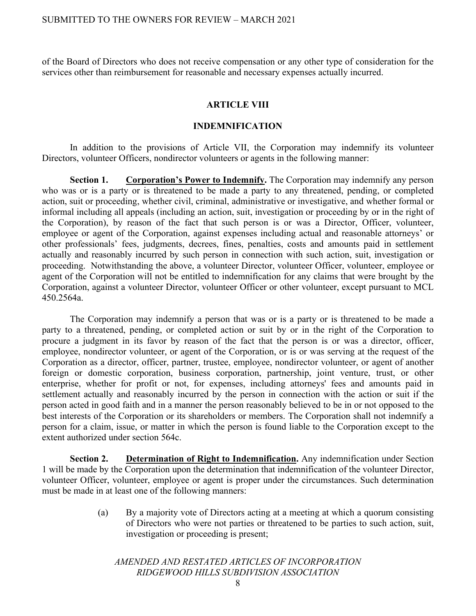of the Board of Directors who does not receive compensation or any other type of consideration for the services other than reimbursement for reasonable and necessary expenses actually incurred.

## **ARTICLE VIII**

#### **INDEMNIFICATION**

In addition to the provisions of Article VII, the Corporation may indemnify its volunteer Directors, volunteer Officers, nondirector volunteers or agents in the following manner:

**Section 1. Corporation's Power to Indemnify.** The Corporation may indemnify any person who was or is a party or is threatened to be made a party to any threatened, pending, or completed action, suit or proceeding, whether civil, criminal, administrative or investigative, and whether formal or informal including all appeals (including an action, suit, investigation or proceeding by or in the right of the Corporation), by reason of the fact that such person is or was a Director, Officer, volunteer, employee or agent of the Corporation, against expenses including actual and reasonable attorneys' or other professionals' fees, judgments, decrees, fines, penalties, costs and amounts paid in settlement actually and reasonably incurred by such person in connection with such action, suit, investigation or proceeding. Notwithstanding the above, a volunteer Director, volunteer Officer, volunteer, employee or agent of the Corporation will not be entitled to indemnification for any claims that were brought by the Corporation, against a volunteer Director, volunteer Officer or other volunteer, except pursuant to MCL 450.2564a.

The Corporation may indemnify a person that was or is a party or is threatened to be made a party to a threatened, pending, or completed action or suit by or in the right of the Corporation to procure a judgment in its favor by reason of the fact that the person is or was a director, officer, employee, nondirector volunteer, or agent of the Corporation, or is or was serving at the request of the Corporation as a director, officer, partner, trustee, employee, nondirector volunteer, or agent of another foreign or domestic corporation, business corporation, partnership, joint venture, trust, or other enterprise, whether for profit or not, for expenses, including attorneys' fees and amounts paid in settlement actually and reasonably incurred by the person in connection with the action or suit if the person acted in good faith and in a manner the person reasonably believed to be in or not opposed to the best interests of the Corporation or its shareholders or members. The Corporation shall not indemnify a person for a claim, issue, or matter in which the person is found liable to the Corporation except to the extent authorized under section 564c.

**Section 2. Determination of Right to Indemnification.** Any indemnification under Section 1 will be made by the Corporation upon the determination that indemnification of the volunteer Director, volunteer Officer, volunteer, employee or agent is proper under the circumstances. Such determination must be made in at least one of the following manners:

> (a) By a majority vote of Directors acting at a meeting at which a quorum consisting of Directors who were not parties or threatened to be parties to such action, suit, investigation or proceeding is present;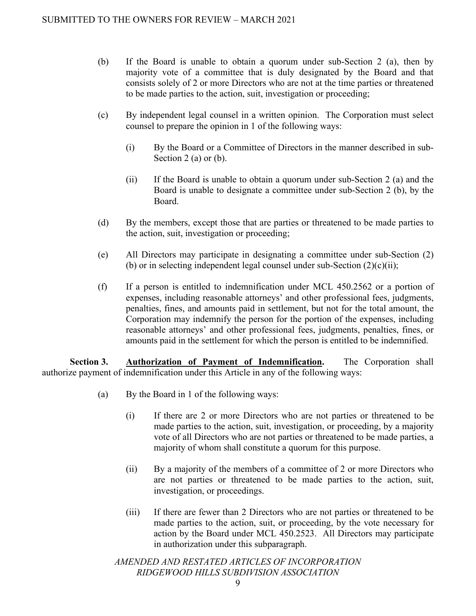- (b) If the Board is unable to obtain a quorum under sub-Section 2 (a), then by majority vote of a committee that is duly designated by the Board and that consists solely of 2 or more Directors who are not at the time parties or threatened to be made parties to the action, suit, investigation or proceeding;
- (c) By independent legal counsel in a written opinion. The Corporation must select counsel to prepare the opinion in 1 of the following ways:
	- (i) By the Board or a Committee of Directors in the manner described in sub-Section 2 (a) or (b).
	- (ii) If the Board is unable to obtain a quorum under sub-Section 2 (a) and the Board is unable to designate a committee under sub-Section 2 (b), by the Board.
- (d) By the members, except those that are parties or threatened to be made parties to the action, suit, investigation or proceeding;
- (e) All Directors may participate in designating a committee under sub-Section (2) (b) or in selecting independent legal counsel under sub-Section  $(2)(c)(ii)$ ;
- (f) If a person is entitled to indemnification under MCL 450.2562 or a portion of expenses, including reasonable attorneys' and other professional fees, judgments, penalties, fines, and amounts paid in settlement, but not for the total amount, the Corporation may indemnify the person for the portion of the expenses, including reasonable attorneys' and other professional fees, judgments, penalties, fines, or amounts paid in the settlement for which the person is entitled to be indemnified.

**Section 3. Authorization of Payment of Indemnification.** The Corporation shall authorize payment of indemnification under this Article in any of the following ways:

- (a) By the Board in 1 of the following ways:
	- (i) If there are 2 or more Directors who are not parties or threatened to be made parties to the action, suit, investigation, or proceeding, by a majority vote of all Directors who are not parties or threatened to be made parties, a majority of whom shall constitute a quorum for this purpose.
	- (ii) By a majority of the members of a committee of 2 or more Directors who are not parties or threatened to be made parties to the action, suit, investigation, or proceedings.
	- (iii) If there are fewer than 2 Directors who are not parties or threatened to be made parties to the action, suit, or proceeding, by the vote necessary for action by the Board under MCL 450.2523. All Directors may participate in authorization under this subparagraph.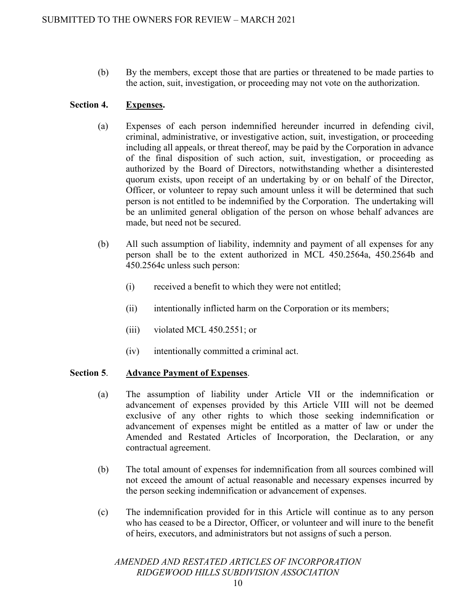(b) By the members, except those that are parties or threatened to be made parties to the action, suit, investigation, or proceeding may not vote on the authorization.

## **Section 4. Expenses.**

- (a) Expenses of each person indemnified hereunder incurred in defending civil, criminal, administrative, or investigative action, suit, investigation, or proceeding including all appeals, or threat thereof, may be paid by the Corporation in advance of the final disposition of such action, suit, investigation, or proceeding as authorized by the Board of Directors, notwithstanding whether a disinterested quorum exists, upon receipt of an undertaking by or on behalf of the Director, Officer, or volunteer to repay such amount unless it will be determined that such person is not entitled to be indemnified by the Corporation. The undertaking will be an unlimited general obligation of the person on whose behalf advances are made, but need not be secured.
- (b) All such assumption of liability, indemnity and payment of all expenses for any person shall be to the extent authorized in MCL 450.2564a, 450.2564b and 450.2564c unless such person:
	- (i) received a benefit to which they were not entitled;
	- (ii) intentionally inflicted harm on the Corporation or its members;
	- (iii) violated MCL 450.2551; or
	- (iv) intentionally committed a criminal act.

## **Section 5**. **Advance Payment of Expenses**.

- (a) The assumption of liability under Article VII or the indemnification or advancement of expenses provided by this Article VIII will not be deemed exclusive of any other rights to which those seeking indemnification or advancement of expenses might be entitled as a matter of law or under the Amended and Restated Articles of Incorporation, the Declaration, or any contractual agreement.
- (b) The total amount of expenses for indemnification from all sources combined will not exceed the amount of actual reasonable and necessary expenses incurred by the person seeking indemnification or advancement of expenses.
- (c) The indemnification provided for in this Article will continue as to any person who has ceased to be a Director, Officer, or volunteer and will inure to the benefit of heirs, executors, and administrators but not assigns of such a person.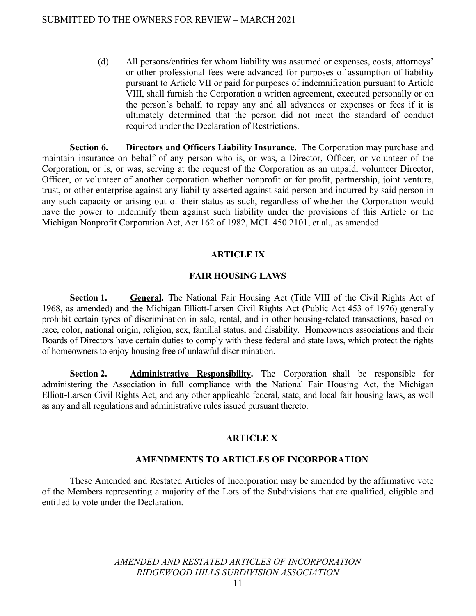(d) All persons/entities for whom liability was assumed or expenses, costs, attorneys' or other professional fees were advanced for purposes of assumption of liability pursuant to Article VII or paid for purposes of indemnification pursuant to Article VIII, shall furnish the Corporation a written agreement, executed personally or on the person's behalf, to repay any and all advances or expenses or fees if it is ultimately determined that the person did not meet the standard of conduct required under the Declaration of Restrictions.

**Section 6. Directors and Officers Liability Insurance.** The Corporation may purchase and maintain insurance on behalf of any person who is, or was, a Director, Officer, or volunteer of the Corporation, or is, or was, serving at the request of the Corporation as an unpaid, volunteer Director, Officer, or volunteer of another corporation whether nonprofit or for profit, partnership, joint venture, trust, or other enterprise against any liability asserted against said person and incurred by said person in any such capacity or arising out of their status as such, regardless of whether the Corporation would have the power to indemnify them against such liability under the provisions of this Article or the Michigan Nonprofit Corporation Act, Act 162 of 1982, MCL 450.2101, et al., as amended.

## **ARTICLE IX**

## **FAIR HOUSING LAWS**

**Section 1.** General. The National Fair Housing Act (Title VIII of the Civil Rights Act of 1968, as amended) and the Michigan Elliott-Larsen Civil Rights Act (Public Act 453 of 1976) generally prohibit certain types of discrimination in sale, rental, and in other housing-related transactions, based on race, color, national origin, religion, sex, familial status, and disability. Homeowners associations and their Boards of Directors have certain duties to comply with these federal and state laws, which protect the rights of homeowners to enjoy housing free of unlawful discrimination.

**Section 2. Administrative Responsibility.** The Corporation shall be responsible for administering the Association in full compliance with the National Fair Housing Act, the Michigan Elliott-Larsen Civil Rights Act, and any other applicable federal, state, and local fair housing laws, as well as any and all regulations and administrative rules issued pursuant thereto.

## **ARTICLE X**

## **AMENDMENTS TO ARTICLES OF INCORPORATION**

These Amended and Restated Articles of Incorporation may be amended by the affirmative vote of the Members representing a majority of the Lots of the Subdivisions that are qualified, eligible and entitled to vote under the Declaration.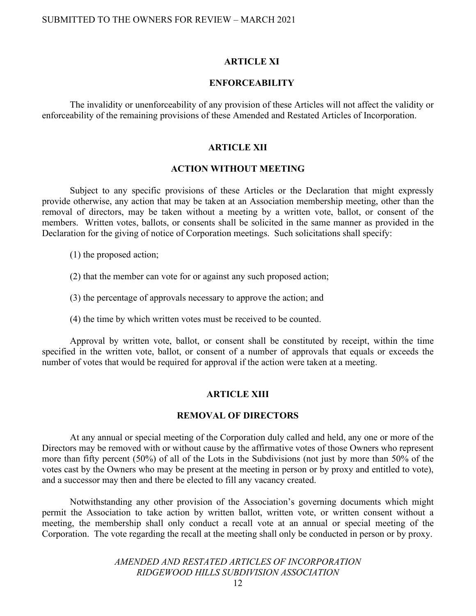#### **ARTICLE XI**

#### **ENFORCEABILITY**

The invalidity or unenforceability of any provision of these Articles will not affect the validity or enforceability of the remaining provisions of these Amended and Restated Articles of Incorporation.

#### **ARTICLE XII**

#### **ACTION WITHOUT MEETING**

Subject to any specific provisions of these Articles or the Declaration that might expressly provide otherwise, any action that may be taken at an Association membership meeting, other than the removal of directors, may be taken without a meeting by a written vote, ballot, or consent of the members. Written votes, ballots, or consents shall be solicited in the same manner as provided in the Declaration for the giving of notice of Corporation meetings. Such solicitations shall specify:

- (1) the proposed action;
- (2) that the member can vote for or against any such proposed action;
- (3) the percentage of approvals necessary to approve the action; and
- (4) the time by which written votes must be received to be counted.

Approval by written vote, ballot, or consent shall be constituted by receipt, within the time specified in the written vote, ballot, or consent of a number of approvals that equals or exceeds the number of votes that would be required for approval if the action were taken at a meeting.

#### **ARTICLE XIII**

#### **REMOVAL OF DIRECTORS**

At any annual or special meeting of the Corporation duly called and held, any one or more of the Directors may be removed with or without cause by the affirmative votes of those Owners who represent more than fifty percent (50%) of all of the Lots in the Subdivisions (not just by more than 50% of the votes cast by the Owners who may be present at the meeting in person or by proxy and entitled to vote), and a successor may then and there be elected to fill any vacancy created.

Notwithstanding any other provision of the Association's governing documents which might permit the Association to take action by written ballot, written vote, or written consent without a meeting, the membership shall only conduct a recall vote at an annual or special meeting of the Corporation. The vote regarding the recall at the meeting shall only be conducted in person or by proxy.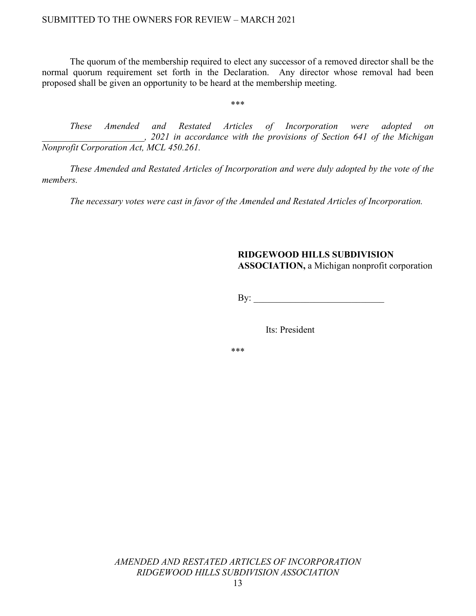The quorum of the membership required to elect any successor of a removed director shall be the normal quorum requirement set forth in the Declaration. Any director whose removal had been proposed shall be given an opportunity to be heard at the membership meeting.

\*\*\*

*These Amended and Restated Articles of Incorporation were adopted on \_\_\_\_\_\_\_\_\_\_\_\_\_\_\_\_\_\_\_\_\_\_, 2021 in accordance with the provisions of Section 641 of the Michigan Nonprofit Corporation Act, MCL 450.261.* 

*These Amended and Restated Articles of Incorporation and were duly adopted by the vote of the members.* 

*The necessary votes were cast in favor of the Amended and Restated Articles of Incorporation.*

# **RIDGEWOOD HILLS SUBDIVISION**

**ASSOCIATION,** a Michigan nonprofit corporation

 $\mathbf{B}$ y:

Its: President

\*\*\*